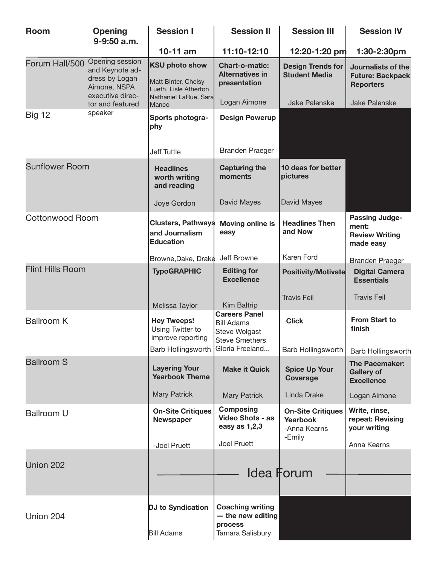| <b>Room</b>             | <b>Opening</b><br>9-9:50 a.m.                                                            | <b>Session I</b>                                                                                | <b>Session II</b>                                                                   | <b>Session III</b>                                          | <b>Session IV</b>                                                    |
|-------------------------|------------------------------------------------------------------------------------------|-------------------------------------------------------------------------------------------------|-------------------------------------------------------------------------------------|-------------------------------------------------------------|----------------------------------------------------------------------|
|                         |                                                                                          | $10-11$ am                                                                                      | 11:10-12:10                                                                         | 12:20-1:20 pm                                               | 1:30-2:30pm                                                          |
| Forum Hall/500          | Opening session<br>and Keynote ad-<br>dress by Logan<br>Aimone, NSPA<br>executive direc- | <b>KSU photo show</b><br>Matt BInter, Chelsy<br>Lueth, Lisle Atherton,<br>Nathaniel LaRue, Sara | <b>Chart-o-matic:</b><br><b>Alternatives in</b><br>presentation                     | <b>Design Trends for</b><br><b>Student Media</b>            | Journalists of the<br><b>Future: Backpack</b><br><b>Reporters</b>    |
|                         | tor and featured                                                                         | Manco                                                                                           | Logan Aimone                                                                        | <b>Jake Palenske</b>                                        | <b>Jake Palenske</b>                                                 |
| <b>Big 12</b>           | speaker                                                                                  | Sports photogra-<br>phy                                                                         | <b>Design Powerup</b>                                                               |                                                             |                                                                      |
|                         |                                                                                          | <b>Jeff Tuttle</b>                                                                              | <b>Branden Praeger</b>                                                              |                                                             |                                                                      |
| <b>Sunflower Room</b>   |                                                                                          | <b>Headlines</b><br>worth writing<br>and reading                                                | <b>Capturing the</b><br>moments                                                     | 10 deas for better<br>pictures                              |                                                                      |
|                         |                                                                                          | Joye Gordon                                                                                     | David Mayes                                                                         | David Mayes                                                 |                                                                      |
| <b>Cottonwood Room</b>  |                                                                                          | <b>Clusters, Pathways</b><br>and Journalism<br><b>Education</b>                                 | <b>Moving online is</b><br>easy                                                     | <b>Headlines Then</b><br>and Now                            | <b>Passing Judge-</b><br>ment:<br><b>Review Writing</b><br>made easy |
|                         |                                                                                          | Browne, Dake, Drake                                                                             | Jeff Browne                                                                         | Karen Ford                                                  | <b>Branden Praeger</b>                                               |
| <b>Flint Hills Room</b> |                                                                                          | <b>TypoGRAPHIC</b>                                                                              | <b>Editing for</b><br><b>Excellence</b>                                             | Positivity/Motivate                                         | <b>Digital Camera</b><br><b>Essentials</b>                           |
|                         |                                                                                          | Melissa Taylor                                                                                  | Kim Baltrip                                                                         | <b>Travis Feil</b>                                          | <b>Travis Feil</b>                                                   |
| <b>Ballroom K</b>       |                                                                                          | <b>Hey Tweeps!</b><br>Using Twitter to<br>improve reporting                                     | <b>Careers Panel</b><br><b>Bill Adams</b><br>Steve Wolgast<br><b>Steve Smethers</b> | <b>Click</b>                                                | <b>From Start to</b><br>finish                                       |
|                         |                                                                                          | Barb Hollingsworth                                                                              | Gloria Freeland                                                                     | Barb Hollingsworth                                          | <b>Barb Hollingsworth</b>                                            |
| <b>Ballroom S</b>       |                                                                                          | <b>Layering Your</b><br><b>Yearbook Theme</b>                                                   | <b>Make it Quick</b>                                                                | <b>Spice Up Your</b><br>Coverage                            | <b>The Pacemaker:</b><br><b>Gallery of</b><br><b>Excellence</b>      |
|                         |                                                                                          | <b>Mary Patrick</b>                                                                             | <b>Mary Patrick</b>                                                                 | Linda Drake                                                 | Logan Aimone                                                         |
| <b>Ballroom U</b>       |                                                                                          | <b>On-Site Critiques</b><br>Newspaper                                                           | <b>Composing</b><br><b>Video Shots - as</b><br>easy as 1,2,3                        | <b>On-Site Critiques</b><br><b>Yearbook</b><br>-Anna Kearns | Write, rinse,<br>repeat: Revising<br>your writing                    |
|                         |                                                                                          | -Joel Pruett                                                                                    | Joel Pruett                                                                         | -Emily                                                      | Anna Kearns                                                          |
| Union 202               |                                                                                          |                                                                                                 |                                                                                     | <b>Idea Forum</b>                                           |                                                                      |
|                         |                                                                                          |                                                                                                 |                                                                                     |                                                             |                                                                      |
| Union 204               |                                                                                          | DJ to Syndication<br><b>Bill Adams</b>                                                          | <b>Coaching writing</b><br>$-$ the new editing<br>process<br>Tamara Salisbury       |                                                             |                                                                      |